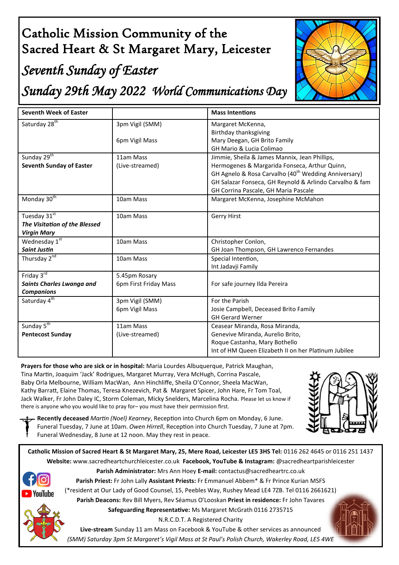# Catholic Mission Community of the Sacred Heart & St Margaret Mary, Leicester

## *Seventh Sunday of Easter*

*Sunday 29th May 2022 World Communications Day* 



| <b>Seventh Week of Easter</b>                                       |                                        | <b>Mass Intentions</b>                                                                                                                                                                                                                                                |
|---------------------------------------------------------------------|----------------------------------------|-----------------------------------------------------------------------------------------------------------------------------------------------------------------------------------------------------------------------------------------------------------------------|
| Saturday 28 <sup>th</sup>                                           | 3pm Vigil (SMM)<br>6pm Vigil Mass      | Margaret McKenna,<br>Birthday thanksgiving<br>Mary Deegan, GH Brito Family<br>GH Mario & Lucia Colimao                                                                                                                                                                |
| Sunday 29 <sup>th</sup><br><b>Seventh Sunday of Easter</b>          | 11am Mass<br>(Live-streamed)           | Jimmie, Sheila & James Mannix, Jean Phillips,<br>Hermogenes & Margarida Fonseca, Arthur Quinn,<br>GH Agnelo & Rosa Carvalho (40 <sup>th</sup> Wedding Anniversary)<br>GH Salazar Fonseca, GH Reynold & Arlindo Carvalho & fam<br>GH Corrina Pascale, GH Maria Pascale |
| Monday 30 <sup>th</sup>                                             | 10am Mass                              | Margaret McKenna, Josephine McMahon                                                                                                                                                                                                                                   |
| Tuesday 31st<br>The Visitation of the Blessed<br><b>Virgin Mary</b> | 10am Mass                              | <b>Gerry Hirst</b>                                                                                                                                                                                                                                                    |
| Wednesday 1st<br><b>Saint Justin</b>                                | 10am Mass                              | Christopher Conlon,<br>GH Joan Thompson, GH Lawrenco Fernandes                                                                                                                                                                                                        |
| Thursday 2 <sup>nd</sup>                                            | 10am Mass                              | Special Intention,<br>Int Jadavji Family                                                                                                                                                                                                                              |
| Friday 3rd<br>Saints Charles Lwanga and<br><b>Companions</b>        | 5.45pm Rosary<br>6pm First Friday Mass | For safe journey Ilda Pereira                                                                                                                                                                                                                                         |
| Saturday 4 <sup>th</sup>                                            | 3pm Vigil (SMM)<br>6pm Vigil Mass      | For the Parish<br>Josie Campbell, Deceased Brito Family<br><b>GH Gerard Werner</b>                                                                                                                                                                                    |
| Sunday 5 <sup>th</sup><br><b>Pentecost Sunday</b>                   | 11am Mass<br>(Live-streamed)           | Ceasear Miranda, Rosa Miranda,<br>Genevive Miranda, Aurelio Brito,<br>Roque Castanha, Mary Bothello<br>Int of HM Queen Elizabeth II on her Platinum Jubilee                                                                                                           |

**Prayers for those who are sick or in hospital:** Maria Lourdes Albuquerque, Patrick Maughan, Tina Martin, Joaquim 'Jack' Rodrigues, Margaret Murray, Vera McHugh, Corrina Pascale, Baby Orla Melbourne, William MacWan, Ann Hinchliffe, Sheila O'Connor, Sheela MacWan, Kathy Barratt, Elaine Thomas, Teresa Knezevich, Pat & Margaret Spicer, John Hare, Fr Tom Toal, Jack Walker, Fr John Daley IC, Storm Coleman, Micky Snelders, Marcelina Rocha. Please let us know if there is anyone who you would like to pray for– you must have their permission first.



**Recently deceased** *Martin (Noel) Kearney*, Reception into Church 6pm on Monday, 6 June. Funeral Tuesday, 7 June at 10am. *Owen Hirrell*, Reception into Church Tuesday, 7 June at 7pm. Funeral Wednesday, 8 June at 12 noon. May they rest in peace.

**Catholic Mission of Sacred Heart & St Margaret Mary, 25, Mere Road, Leicester LE5 3HS Tel:** 0116 262 4645 or 0116 251 1437 **Website:** www.sacredheartchurchleicester.co.uk **Facebook, YouTube & Instagram:** @sacredheartparishleicester



**Parish Administrator:** Mrs Ann Hoey **E-mail:** contactus@sacredheartrc.co.uk **Parish Priest:** Fr John Lally **Assistant Priests:** Fr Emmanuel Abbem\* & Fr Prince Kurian MSFS (\*resident at Our Lady of Good Counsel, 15, Peebles Way, Rushey Mead LE4 7ZB. Tel 0116 2661621)

**Parish Deacons:** Rev Bill Myers, Rev Séamus O'Looskan **Priest in residence:** Fr John Tavares **Safeguarding Representative:** Ms Margaret McGrath 0116 2735715

N.R.C.D.T. A Registered Charity

**Live-stream** Sunday 11 am Mass on Facebook & YouTube & other services as announced *(SMM) Saturday 3pm St Margaret's Vigil Mass at St Paul's Polish Church, Wakerley Road, LE5 4WE*